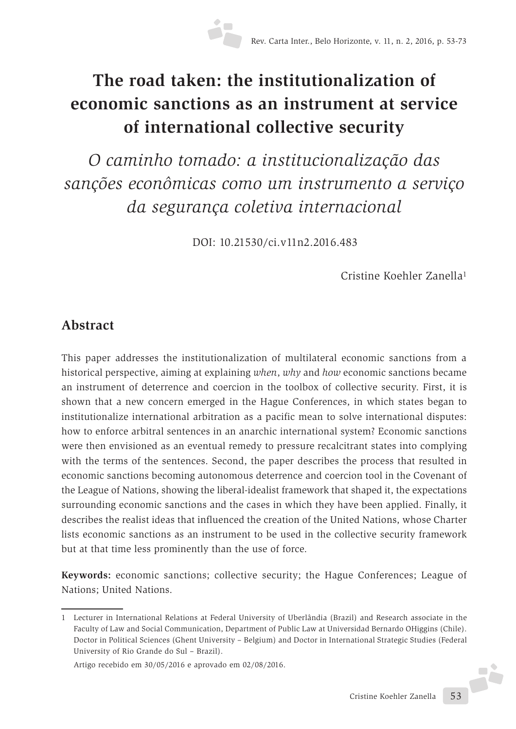# **The road taken: the institutionalization of economic sanctions as an instrument at service of international collective security**

*O caminho tomado: a institucionalização das sanções econômicas como um instrumento a serviço da segurança coletiva internacional*

DOI: 10.21530/ci.v11n2.2016.483

Cristine Koehler Zanella1

## **Abstract**

This paper addresses the institutionalization of multilateral economic sanctions from a historical perspective, aiming at explaining *when*, *why* and *how* economic sanctions became an instrument of deterrence and coercion in the toolbox of collective security. First, it is shown that a new concern emerged in the Hague Conferences, in which states began to institutionalize international arbitration as a pacific mean to solve international disputes: how to enforce arbitral sentences in an anarchic international system? Economic sanctions were then envisioned as an eventual remedy to pressure recalcitrant states into complying with the terms of the sentences. Second, the paper describes the process that resulted in economic sanctions becoming autonomous deterrence and coercion tool in the Covenant of the League of Nations, showing the liberal-idealist framework that shaped it, the expectations surrounding economic sanctions and the cases in which they have been applied. Finally, it describes the realist ideas that influenced the creation of the United Nations, whose Charter lists economic sanctions as an instrument to be used in the collective security framework but at that time less prominently than the use of force.

**Keywords:** economic sanctions; collective security; the Hague Conferences; League of Nations; United Nations.

F

<sup>1</sup> Lecturer in International Relations at Federal University of Uberlândia (Brazil) and Research associate in the Faculty of Law and Social Communication, Department of Public Law at Universidad Bernardo OHiggins (Chile). Doctor in Political Sciences (Ghent University – Belgium) and Doctor in International Strategic Studies (Federal University of Rio Grande do Sul – Brazil).

Artigo recebido em 30/05/2016 e aprovado em 02/08/2016.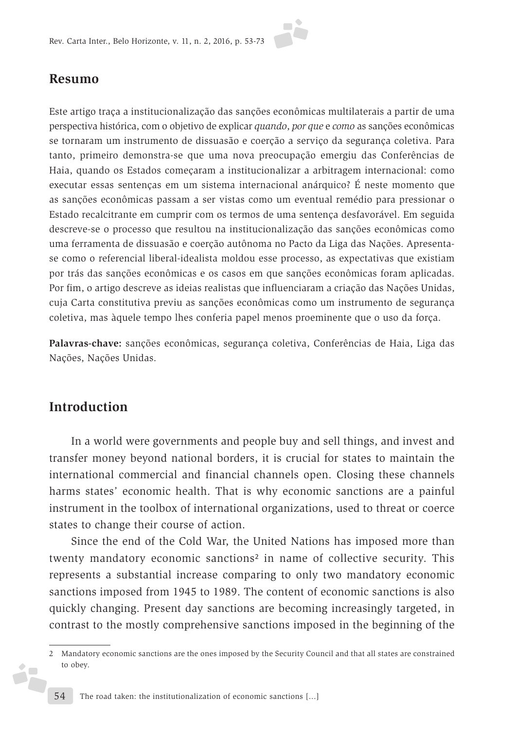

#### **Resumo**

Este artigo traça a institucionalização das sanções econômicas multilaterais a partir de uma perspectiva histórica, com o objetivo de explicar *quando*, *por que* e *como* as sanções econômicas se tornaram um instrumento de dissuasão e coerção a serviço da segurança coletiva. Para tanto, primeiro demonstra-se que uma nova preocupação emergiu das Conferências de Haia, quando os Estados começaram a institucionalizar a arbitragem internacional: como executar essas sentenças em um sistema internacional anárquico? É neste momento que as sanções econômicas passam a ser vistas como um eventual remédio para pressionar o Estado recalcitrante em cumprir com os termos de uma sentença desfavorável. Em seguida descreve-se o processo que resultou na institucionalização das sanções econômicas como uma ferramenta de dissuasão e coerção autônoma no Pacto da Liga das Nações. Apresentase como o referencial liberal-idealista moldou esse processo, as expectativas que existiam por trás das sanções econômicas e os casos em que sanções econômicas foram aplicadas. Por fim, o artigo descreve as ideias realistas que influenciaram a criação das Nações Unidas, cuja Carta constitutiva previu as sanções econômicas como um instrumento de segurança coletiva, mas àquele tempo lhes conferia papel menos proeminente que o uso da força.

**Palavras-chave:** sanções econômicas, segurança coletiva, Conferências de Haia, Liga das Nações, Nações Unidas.

### **Introduction**

ż<mark>.</mark>

In a world were governments and people buy and sell things, and invest and transfer money beyond national borders, it is crucial for states to maintain the international commercial and financial channels open. Closing these channels harms states' economic health. That is why economic sanctions are a painful instrument in the toolbox of international organizations, used to threat or coerce states to change their course of action.

Since the end of the Cold War, the United Nations has imposed more than twenty mandatory economic sanctions<sup>2</sup> in name of collective security. This represents a substantial increase comparing to only two mandatory economic sanctions imposed from 1945 to 1989. The content of economic sanctions is also quickly changing. Present day sanctions are becoming increasingly targeted, in contrast to the mostly comprehensive sanctions imposed in the beginning of the

<sup>2</sup> Mandatory economic sanctions are the ones imposed by the Security Council and that all states are constrained to obey.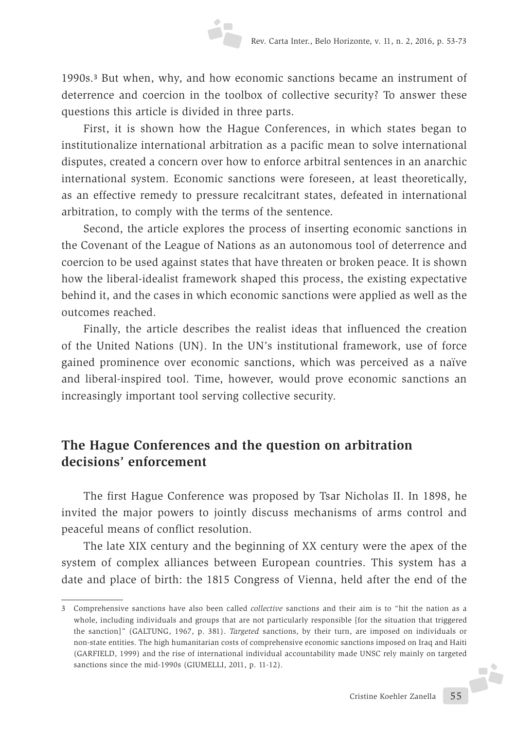1990s.3 But when, why, and how economic sanctions became an instrument of deterrence and coercion in the toolbox of collective security? To answer these questions this article is divided in three parts.

First, it is shown how the Hague Conferences, in which states began to institutionalize international arbitration as a pacific mean to solve international disputes, created a concern over how to enforce arbitral sentences in an anarchic international system. Economic sanctions were foreseen, at least theoretically, as an effective remedy to pressure recalcitrant states, defeated in international arbitration, to comply with the terms of the sentence.

Second, the article explores the process of inserting economic sanctions in the Covenant of the League of Nations as an autonomous tool of deterrence and coercion to be used against states that have threaten or broken peace. It is shown how the liberal-idealist framework shaped this process, the existing expectative behind it, and the cases in which economic sanctions were applied as well as the outcomes reached.

Finally, the article describes the realist ideas that influenced the creation of the United Nations (UN). In the UN's institutional framework, use of force gained prominence over economic sanctions, which was perceived as a naïve and liberal-inspired tool. Time, however, would prove economic sanctions an increasingly important tool serving collective security.

### **The Hague Conferences and the question on arbitration decisions' enforcement**

The first Hague Conference was proposed by Tsar Nicholas II. In 1898, he invited the major powers to jointly discuss mechanisms of arms control and peaceful means of conflict resolution.

The late XIX century and the beginning of XX century were the apex of the system of complex alliances between European countries. This system has a date and place of birth: the 1815 Congress of Vienna, held after the end of the

J.

<sup>3</sup> Comprehensive sanctions have also been called *collective* sanctions and their aim is to "hit the nation as a whole, including individuals and groups that are not particularly responsible [for the situation that triggered the sanction]" (GALTUNG, 1967, p. 381). *Targeted* sanctions, by their turn, are imposed on individuals or non-state entities. The high humanitarian costs of comprehensive economic sanctions imposed on Iraq and Haiti (GARFIELD, 1999) and the rise of international individual accountability made UNSC rely mainly on targeted sanctions since the mid-1990s (GIUMELLI, 2011, p. 11-12).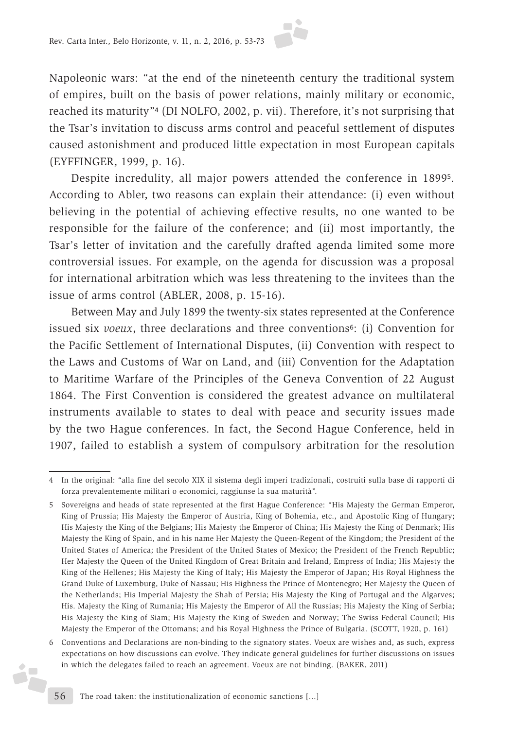

Napoleonic wars: "at the end of the nineteenth century the traditional system of empires, built on the basis of power relations, mainly military or economic, reached its maturity"4 (DI NOLFO, 2002, p. vii). Therefore, it's not surprising that the Tsar's invitation to discuss arms control and peaceful settlement of disputes caused astonishment and produced little expectation in most European capitals (EYFFINGER, 1999, p. 16).

Despite incredulity, all major powers attended the conference in 18995. According to Abler, two reasons can explain their attendance: (i) even without believing in the potential of achieving effective results, no one wanted to be responsible for the failure of the conference; and (ii) most importantly, the Tsar's letter of invitation and the carefully drafted agenda limited some more controversial issues. For example, on the agenda for discussion was a proposal for international arbitration which was less threatening to the invitees than the issue of arms control (ABLER, 2008, p. 15-16).

Between May and July 1899 the twenty-six states represented at the Conference issued six *voeux*, three declarations and three conventions<sup>6</sup>: (i) Convention for the Pacific Settlement of International Disputes, (ii) Convention with respect to the Laws and Customs of War on Land, and (iii) Convention for the Adaptation to Maritime Warfare of the Principles of the Geneva Convention of 22 August 1864. The First Convention is considered the greatest advance on multilateral instruments available to states to deal with peace and security issues made by the two Hague conferences. In fact, the Second Hague Conference, held in 1907, failed to establish a system of compulsory arbitration for the resolution

j.

<sup>4</sup> In the original: "alla fine del secolo XIX il sistema degli imperi tradizionali, costruiti sulla base di rapporti di forza prevalentemente militari o economici, raggiunse la sua maturità".

<sup>5</sup> Sovereigns and heads of state represented at the first Hague Conference: "His Majesty the German Emperor, King of Prussia; His Majesty the Emperor of Austria, King of Bohemia, etc., and Apostolic King of Hungary; His Majesty the King of the Belgians; His Majesty the Emperor of China; His Majesty the King of Denmark; His Majesty the King of Spain, and in his name Her Majesty the Queen-Regent of the Kingdom; the President of the United States of America; the President of the United States of Mexico; the President of the French Republic; Her Majesty the Queen of the United Kingdom of Great Britain and Ireland, Empress of India; His Majesty the King of the Hellenes; His Majesty the King of Italy; His Majesty the Emperor of Japan; His Royal Highness the Grand Duke of Luxemburg, Duke of Nassau; His Highness the Prince of Montenegro; Her Majesty the Queen of the Netherlands; His Imperial Majesty the Shah of Persia; His Majesty the King of Portugal and the Algarves; His. Majesty the King of Rumania; His Majesty the Emperor of All the Russias; His Majesty the King of Serbia; His Majesty the King of Siam; His Majesty the King of Sweden and Norway; The Swiss Federal Council; His Majesty the Emperor of the Ottomans; and his Royal Highness the Prince of Bulgaria. (SCOTT, 1920, p. 161)

<sup>6</sup> Conventions and Declarations are non-binding to the signatory states. Voeux are wishes and, as such, express expectations on how discussions can evolve. They indicate general guidelines for further discussions on issues in which the delegates failed to reach an agreement. Voeux are not binding. (BAKER, 2011)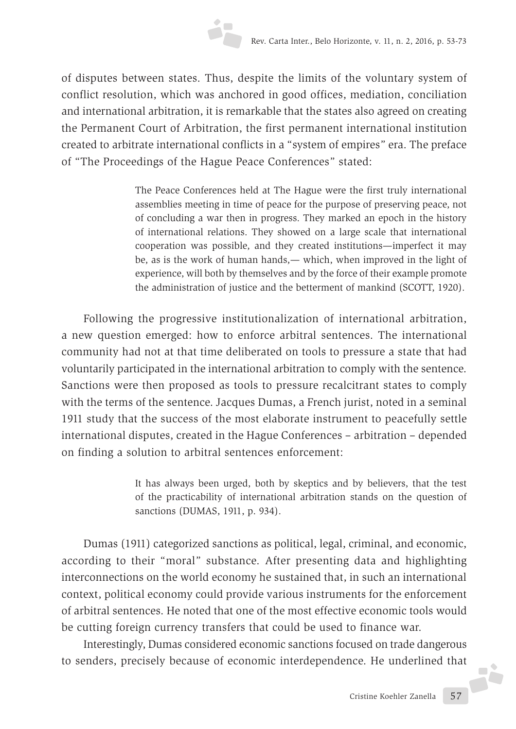of disputes between states. Thus, despite the limits of the voluntary system of conflict resolution, which was anchored in good offices, mediation, conciliation and international arbitration, it is remarkable that the states also agreed on creating the Permanent Court of Arbitration, the first permanent international institution created to arbitrate international conflicts in a "system of empires" era. The preface of "The Proceedings of the Hague Peace Conferences" stated:

> The Peace Conferences held at The Hague were the first truly international assemblies meeting in time of peace for the purpose of preserving peace, not of concluding a war then in progress. They marked an epoch in the history of international relations. They showed on a large scale that international cooperation was possible, and they created institutions—imperfect it may be, as is the work of human hands,— which, when improved in the light of experience, will both by themselves and by the force of their example promote the administration of justice and the betterment of mankind (SCOTT, 1920).

Following the progressive institutionalization of international arbitration, a new question emerged: how to enforce arbitral sentences. The international community had not at that time deliberated on tools to pressure a state that had voluntarily participated in the international arbitration to comply with the sentence. Sanctions were then proposed as tools to pressure recalcitrant states to comply with the terms of the sentence. Jacques Dumas, a French jurist, noted in a seminal 1911 study that the success of the most elaborate instrument to peacefully settle international disputes, created in the Hague Conferences – arbitration – depended on finding a solution to arbitral sentences enforcement:

> It has always been urged, both by skeptics and by believers, that the test of the practicability of international arbitration stands on the question of sanctions (DUMAS, 1911, p. 934).

Dumas (1911) categorized sanctions as political, legal, criminal, and economic, according to their "moral" substance. After presenting data and highlighting interconnections on the world economy he sustained that, in such an international context, political economy could provide various instruments for the enforcement of arbitral sentences. He noted that one of the most effective economic tools would be cutting foreign currency transfers that could be used to finance war.

Interestingly, Dumas considered economic sanctions focused on trade dangerous to senders, precisely because of economic interdependence. He underlined that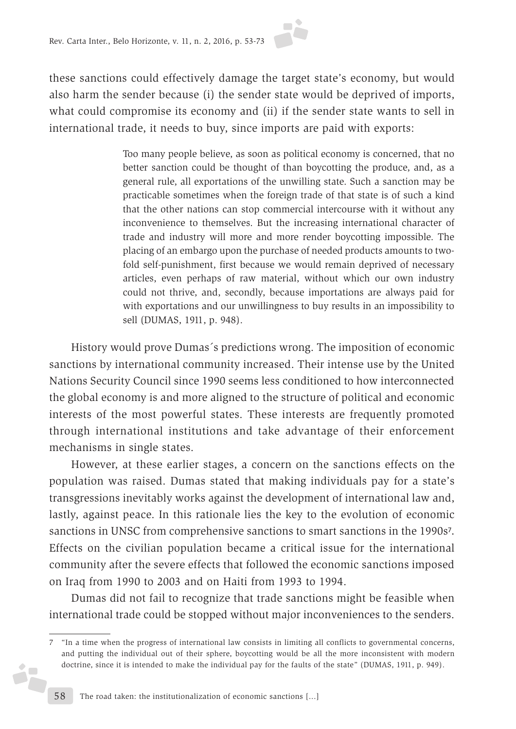

these sanctions could effectively damage the target state's economy, but would also harm the sender because (i) the sender state would be deprived of imports, what could compromise its economy and (ii) if the sender state wants to sell in international trade, it needs to buy, since imports are paid with exports:

> Too many people believe, as soon as political economy is concerned, that no better sanction could be thought of than boycotting the produce, and, as a general rule, all exportations of the unwilling state. Such a sanction may be practicable sometimes when the foreign trade of that state is of such a kind that the other nations can stop commercial intercourse with it without any inconvenience to themselves. But the increasing international character of trade and industry will more and more render boycotting impossible. The placing of an embargo upon the purchase of needed products amounts to twofold self-punishment, first because we would remain deprived of necessary articles, even perhaps of raw material, without which our own industry could not thrive, and, secondly, because importations are always paid for with exportations and our unwillingness to buy results in an impossibility to sell (DUMAS, 1911, p. 948).

History would prove Dumas´s predictions wrong. The imposition of economic sanctions by international community increased. Their intense use by the United Nations Security Council since 1990 seems less conditioned to how interconnected the global economy is and more aligned to the structure of political and economic interests of the most powerful states. These interests are frequently promoted through international institutions and take advantage of their enforcement mechanisms in single states.

However, at these earlier stages, a concern on the sanctions effects on the population was raised. Dumas stated that making individuals pay for a state's transgressions inevitably works against the development of international law and, lastly, against peace. In this rationale lies the key to the evolution of economic sanctions in UNSC from comprehensive sanctions to smart sanctions in the 1990s7. Effects on the civilian population became a critical issue for the international community after the severe effects that followed the economic sanctions imposed on Iraq from 1990 to 2003 and on Haiti from 1993 to 1994.

Dumas did not fail to recognize that trade sanctions might be feasible when international trade could be stopped without major inconveniences to the senders.

Š,

<sup>7</sup> "In a time when the progress of international law consists in limiting all conflicts to governmental concerns, and putting the individual out of their sphere, boycotting would be all the more inconsistent with modern doctrine, since it is intended to make the individual pay for the faults of the state" (DUMAS, 1911, p. 949).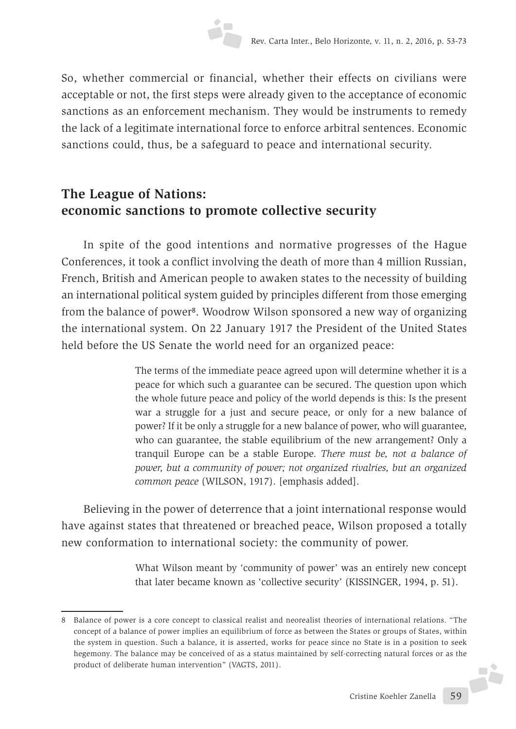So, whether commercial or financial, whether their effects on civilians were acceptable or not, the first steps were already given to the acceptance of economic sanctions as an enforcement mechanism. They would be instruments to remedy the lack of a legitimate international force to enforce arbitral sentences. Economic sanctions could, thus, be a safeguard to peace and international security.

## **The League of Nations: economic sanctions to promote collective security**

In spite of the good intentions and normative progresses of the Hague Conferences, it took a conflict involving the death of more than 4 million Russian, French, British and American people to awaken states to the necessity of building an international political system guided by principles different from those emerging from the balance of power8. Woodrow Wilson sponsored a new way of organizing the international system. On 22 January 1917 the President of the United States held before the US Senate the world need for an organized peace:

> The terms of the immediate peace agreed upon will determine whether it is a peace for which such a guarantee can be secured. The question upon which the whole future peace and policy of the world depends is this: Is the present war a struggle for a just and secure peace, or only for a new balance of power? If it be only a struggle for a new balance of power, who will guarantee, who can guarantee, the stable equilibrium of the new arrangement? Only a tranquil Europe can be a stable Europe. *There must be, not a balance of power, but a community of power; not organized rivalries, but an organized common peace* (WILSON, 1917). [emphasis added].

Believing in the power of deterrence that a joint international response would have against states that threatened or breached peace, Wilson proposed a totally new conformation to international society: the community of power.

> What Wilson meant by 'community of power' was an entirely new concept that later became known as 'collective security' (KISSINGER, 1994, p. 51).

<sup>8</sup> Balance of power is a core concept to classical realist and neorealist theories of international relations. "The concept of a balance of power implies an equilibrium of force as between the States or groups of States, within the system in question. Such a balance, it is asserted, works for peace since no State is in a position to seek hegemony. The balance may be conceived of as a status maintained by self-correcting natural forces or as the product of deliberate human intervention" (VAGTS, 2011).J.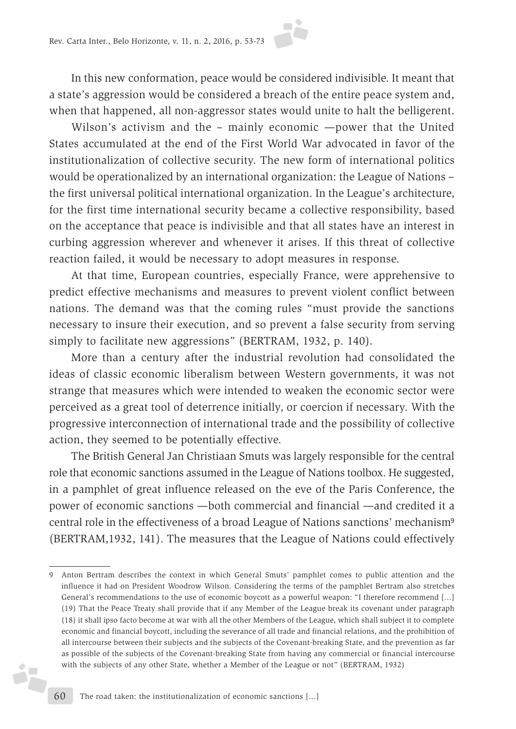In this new conformation, peace would be considered indivisible. It meant that a state's aggression would be considered a breach of the entire peace system and, when that happened, all non-aggressor states would unite to halt the belligerent.

Wilson's activism and the – mainly economic —power that the United States accumulated at the end of the First World War advocated in favor of the institutionalization of collective security. The new form of international politics would be operationalized by an international organization: the League of Nations – the first universal political international organization. In the League's architecture, for the first time international security became a collective responsibility, based on the acceptance that peace is indivisible and that all states have an interest in curbing aggression wherever and whenever it arises. If this threat of collective reaction failed, it would be necessary to adopt measures in response.

At that time, European countries, especially France, were apprehensive to predict effective mechanisms and measures to prevent violent conflict between nations. The demand was that the coming rules "must provide the sanctions necessary to insure their execution, and so prevent a false security from serving simply to facilitate new aggressions" (BERTRAM, 1932, p. 140).

More than a century after the industrial revolution had consolidated the ideas of classic economic liberalism between Western governments, it was not strange that measures which were intended to weaken the economic sector were perceived as a great tool of deterrence initially, or coercion if necessary. With the progressive interconnection of international trade and the possibility of collective action, they seemed to be potentially effective.

The British General Jan Christiaan Smuts was largely responsible for the central role that economic sanctions assumed in the League of Nations toolbox. He suggested, in a pamphlet of great influence released on the eve of the Paris Conference, the power of economic sanctions —both commercial and financial —and credited it a central role in the effectiveness of a broad League of Nations sanctions' mechanism<sup>9</sup> (BERTRAM,1932, 141). The measures that the League of Nations could effectively

Ď,

<sup>9</sup> Anton Bertram describes the context in which General Smuts' pamphlet comes to public attention and the influence it had on President Woodrow Wilson. Considering the terms of the pamphlet Bertram also stretches General's recommendations to the use of economic boycott as a powerful weapon: "I therefore recommend [...] (19) That the Peace Treaty shall provide that if any Member of the League break its covenant under paragraph (18) it shall ipso facto become at war with all the other Members of the League, which shall subject it to complete economic and financial boycott, including the severance of all trade and financial relations, and the prohibition of all intercourse between their subjects and the subjects of the Covenant-breaking State, and the prevention as far as possible of the subjects of the Covenant-breaking State from having any commercial or financial intercourse with the subjects of any other State, whether a Member of the League or not" (BERTRAM, 1932)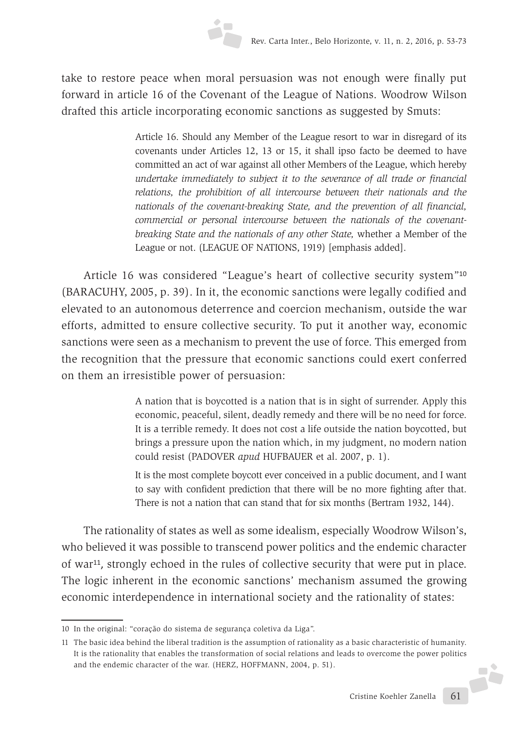take to restore peace when moral persuasion was not enough were finally put forward in article 16 of the Covenant of the League of Nations. Woodrow Wilson drafted this article incorporating economic sanctions as suggested by Smuts:

> Article 16. Should any Member of the League resort to war in disregard of its covenants under Articles 12, 13 or 15, it shall ipso facto be deemed to have committed an act of war against all other Members of the League, which hereby *undertake immediately to subject it to the severance of all trade or financial relations, the prohibition of all intercourse between their nationals and the nationals of the covenant-breaking State, and the prevention of all financial, commercial or personal intercourse between the nationals of the covenantbreaking State and the nationals of any other State,* whether a Member of the League or not. (LEAGUE OF NATIONS, 1919) [emphasis added].

Article 16 was considered "League's heart of collective security system"<sup>10</sup> (BARACUHY, 2005, p. 39). In it, the economic sanctions were legally codified and elevated to an autonomous deterrence and coercion mechanism, outside the war efforts, admitted to ensure collective security. To put it another way, economic sanctions were seen as a mechanism to prevent the use of force. This emerged from the recognition that the pressure that economic sanctions could exert conferred on them an irresistible power of persuasion:

> A nation that is boycotted is a nation that is in sight of surrender. Apply this economic, peaceful, silent, deadly remedy and there will be no need for force. It is a terrible remedy. It does not cost a life outside the nation boycotted, but brings a pressure upon the nation which, in my judgment, no modern nation could resist (PADOVER *apud* HUFBAUER et al. 2007, p. 1).

> It is the most complete boycott ever conceived in a public document, and I want to say with confident prediction that there will be no more fighting after that. There is not a nation that can stand that for six months (Bertram 1932, 144).

The rationality of states as well as some idealism, especially Woodrow Wilson's, who believed it was possible to transcend power politics and the endemic character of war11, strongly echoed in the rules of collective security that were put in place. The logic inherent in the economic sanctions' mechanism assumed the growing economic interdependence in international society and the rationality of states:

JŻ.

<sup>10</sup> In the original: "coração do sistema de segurança coletiva da Liga".

<sup>11</sup> The basic idea behind the liberal tradition is the assumption of rationality as a basic characteristic of humanity. It is the rationality that enables the transformation of social relations and leads to overcome the power politics and the endemic character of the war. (HERZ, HOFFMANN, 2004, p. 51).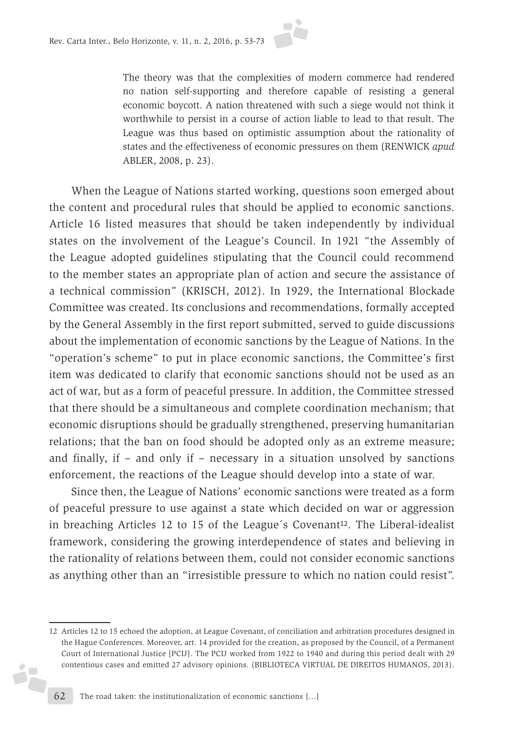

The theory was that the complexities of modern commerce had rendered no nation self-supporting and therefore capable of resisting a general economic boycott. A nation threatened with such a siege would not think it worthwhile to persist in a course of action liable to lead to that result. The League was thus based on optimistic assumption about the rationality of states and the effectiveness of economic pressures on them (RENWICK *apud* ABLER, 2008, p. 23).

When the League of Nations started working, questions soon emerged about the content and procedural rules that should be applied to economic sanctions. Article 16 listed measures that should be taken independently by individual states on the involvement of the League's Council. In 1921 "the Assembly of the League adopted guidelines stipulating that the Council could recommend to the member states an appropriate plan of action and secure the assistance of a technical commission" (KRISCH, 2012). In 1929, the International Blockade Committee was created. Its conclusions and recommendations, formally accepted by the General Assembly in the first report submitted, served to guide discussions about the implementation of economic sanctions by the League of Nations. In the "operation's scheme" to put in place economic sanctions, the Committee's first item was dedicated to clarify that economic sanctions should not be used as an act of war, but as a form of peaceful pressure. In addition, the Committee stressed that there should be a simultaneous and complete coordination mechanism; that economic disruptions should be gradually strengthened, preserving humanitarian relations; that the ban on food should be adopted only as an extreme measure; and finally, if – and only if – necessary in a situation unsolved by sanctions enforcement, the reactions of the League should develop into a state of war.

Since then, the League of Nations' economic sanctions were treated as a form of peaceful pressure to use against a state which decided on war or aggression in breaching Articles 12 to 15 of the League's Covenant<sup>12</sup>. The Liberal-idealist framework, considering the growing interdependence of states and believing in the rationality of relations between them, could not consider economic sanctions as anything other than an "irresistible pressure to which no nation could resist".

š,

<sup>12</sup> Articles 12 to 15 echoed the adoption, at League Covenant, of conciliation and arbitration procedures designed in the Hague Conferences. Moreover, art. 14 provided for the creation, as proposed by the Council, of a Permanent Court of International Justice [PCIJ]. The PCIJ worked from 1922 to 1940 and during this period dealt with 29 contentious cases and emitted 27 advisory opinions. (BIBLIOTECA VIRTUAL DE DIREITOS HUMANOS, 2013).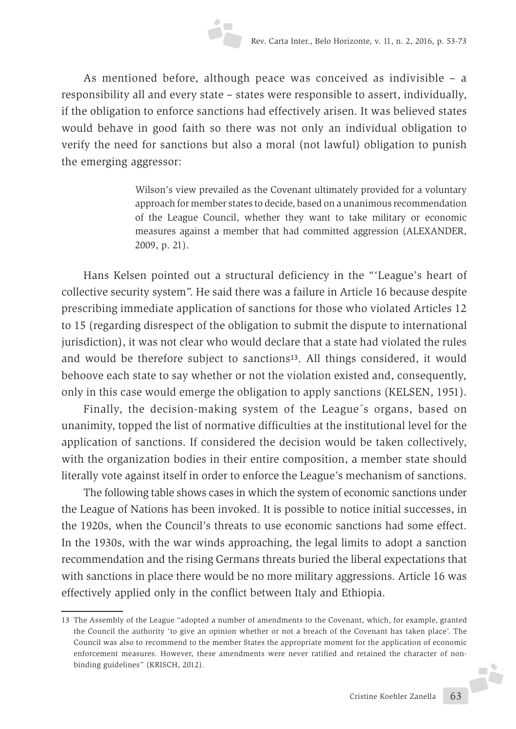As mentioned before, although peace was conceived as indivisible – a responsibility all and every state – states were responsible to assert, individually, if the obligation to enforce sanctions had effectively arisen. It was believed states would behave in good faith so there was not only an individual obligation to verify the need for sanctions but also a moral (not lawful) obligation to punish the emerging aggressor:

> Wilson's view prevailed as the Covenant ultimately provided for a voluntary approach for member states to decide, based on a unanimous recommendation of the League Council, whether they want to take military or economic measures against a member that had committed aggression (ALEXANDER, 2009, p. 21).

Hans Kelsen pointed out a structural deficiency in the "'League's heart of collective security system". He said there was a failure in Article 16 because despite prescribing immediate application of sanctions for those who violated Articles 12 to 15 (regarding disrespect of the obligation to submit the dispute to international jurisdiction), it was not clear who would declare that a state had violated the rules and would be therefore subject to sanctions<sup>13</sup>. All things considered, it would behoove each state to say whether or not the violation existed and, consequently, only in this case would emerge the obligation to apply sanctions (KELSEN, 1951).

Finally, the decision-making system of the League´s organs, based on unanimity, topped the list of normative difficulties at the institutional level for the application of sanctions. If considered the decision would be taken collectively, with the organization bodies in their entire composition, a member state should literally vote against itself in order to enforce the League's mechanism of sanctions.

The following table shows cases in which the system of economic sanctions under the League of Nations has been invoked. It is possible to notice initial successes, in the 1920s, when the Council's threats to use economic sanctions had some effect. In the 1930s, with the war winds approaching, the legal limits to adopt a sanction recommendation and the rising Germans threats buried the liberal expectations that with sanctions in place there would be no more military aggressions. Article 16 was effectively applied only in the conflict between Italy and Ethiopia.

<sup>13</sup> The Assembly of the League "adopted a number of amendments to the Covenant, which, for example, granted the Council the authority 'to give an opinion whether or not a breach of the Covenant has taken place'. The Council was also to recommend to the member States the appropriate moment for the application of economic enforcement measures. However, these amendments were never ratified and retained the character of non-F binding guidelines" (KRISCH, 2012).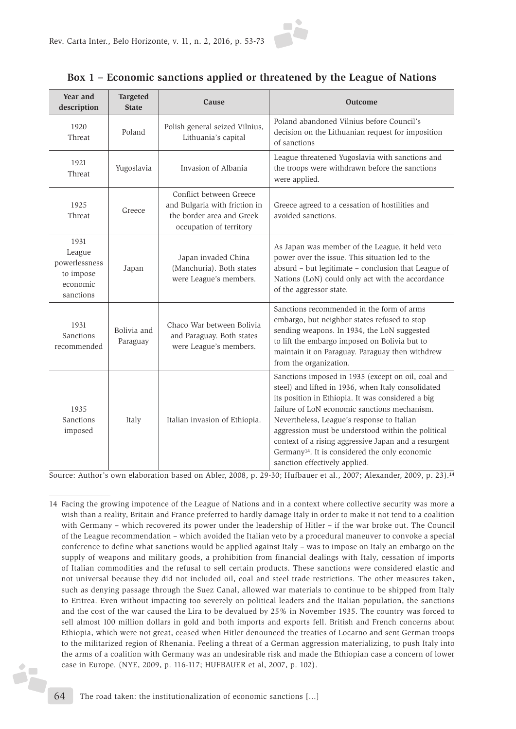

#### **Box 1 – Economic sanctions applied or threatened by the League of Nations**

| Year and<br>description                                               | <b>Targeted</b><br><b>State</b> | Cause                                                                                                            | <b>Outcome</b>                                                                                                                                                                                                                                                                                                                                                                                                                                                           |
|-----------------------------------------------------------------------|---------------------------------|------------------------------------------------------------------------------------------------------------------|--------------------------------------------------------------------------------------------------------------------------------------------------------------------------------------------------------------------------------------------------------------------------------------------------------------------------------------------------------------------------------------------------------------------------------------------------------------------------|
| 1920<br>Threat                                                        | Poland                          | Polish general seized Vilnius,<br>Lithuania's capital                                                            | Poland abandoned Vilnius before Council's<br>decision on the Lithuanian request for imposition<br>of sanctions                                                                                                                                                                                                                                                                                                                                                           |
| 1921<br>Threat                                                        | Yugoslavia                      | Invasion of Albania                                                                                              | League threatened Yugoslavia with sanctions and<br>the troops were withdrawn before the sanctions<br>were applied.                                                                                                                                                                                                                                                                                                                                                       |
| 1925<br>Threat                                                        | Greece                          | Conflict between Greece<br>and Bulgaria with friction in<br>the border area and Greek<br>occupation of territory | Greece agreed to a cessation of hostilities and<br>avoided sanctions.                                                                                                                                                                                                                                                                                                                                                                                                    |
| 1931<br>League<br>powerlessness<br>to impose<br>economic<br>sanctions | Japan                           | Japan invaded China<br>(Manchuria). Both states<br>were League's members.                                        | As Japan was member of the League, it held veto<br>power over the issue. This situation led to the<br>absurd - but legitimate - conclusion that League of<br>Nations (LoN) could only act with the accordance<br>of the aggressor state.                                                                                                                                                                                                                                 |
| 1931<br>Sanctions<br>recommended                                      | Bolivia and<br>Paraguay         | Chaco War between Bolivia<br>and Paraguay. Both states<br>were League's members.                                 | Sanctions recommended in the form of arms<br>embargo, but neighbor states refused to stop<br>sending weapons. In 1934, the LoN suggested<br>to lift the embargo imposed on Bolivia but to<br>maintain it on Paraguay. Paraguay then withdrew<br>from the organization.                                                                                                                                                                                                   |
| 1935<br>Sanctions<br>imposed                                          | Italy                           | Italian invasion of Ethiopia.                                                                                    | Sanctions imposed in 1935 (except on oil, coal and<br>steel) and lifted in 1936, when Italy consolidated<br>its position in Ethiopia. It was considered a big<br>failure of LoN economic sanctions mechanism.<br>Nevertheless, League's response to Italian<br>aggression must be understood within the political<br>context of a rising aggressive Japan and a resurgent<br>Germany <sup>14</sup> . It is considered the only economic<br>sanction effectively applied. |

Source: Author's own elaboration based on Abler, 2008, p. 29-30; Hufbauer et al., 2007; Alexander, 2009, p. 23).14

<sup>14</sup> Facing the growing impotence of the League of Nations and in a context where collective security was more a wish than a reality, Britain and France preferred to hardly damage Italy in order to make it not tend to a coalition with Germany – which recovered its power under the leadership of Hitler – if the war broke out. The Council of the League recommendation – which avoided the Italian veto by a procedural maneuver to convoke a special conference to define what sanctions would be applied against Italy – was to impose on Italy an embargo on the supply of weapons and military goods, a prohibition from financial dealings with Italy, cessation of imports of Italian commodities and the refusal to sell certain products. These sanctions were considered elastic and not universal because they did not included oil, coal and steel trade restrictions. The other measures taken, such as denying passage through the Suez Canal, allowed war materials to continue to be shipped from Italy to Eritrea. Even without impacting too severely on political leaders and the Italian population, the sanctions and the cost of the war caused the Lira to be devalued by 25% in November 1935. The country was forced to sell almost 100 million dollars in gold and both imports and exports fell. British and French concerns about Ethiopia, which were not great, ceased when Hitler denounced the treaties of Locarno and sent German troops to the militarized region of Rhenania. Feeling a threat of a German aggression materializing, to push Italy into the arms of a coalition with Germany was an undesirable risk and made the Ethiopian case a concern of lower case in Europe. (NYE, 2009, p. 116-117; HUFBAUER et al, 2007, p. 102).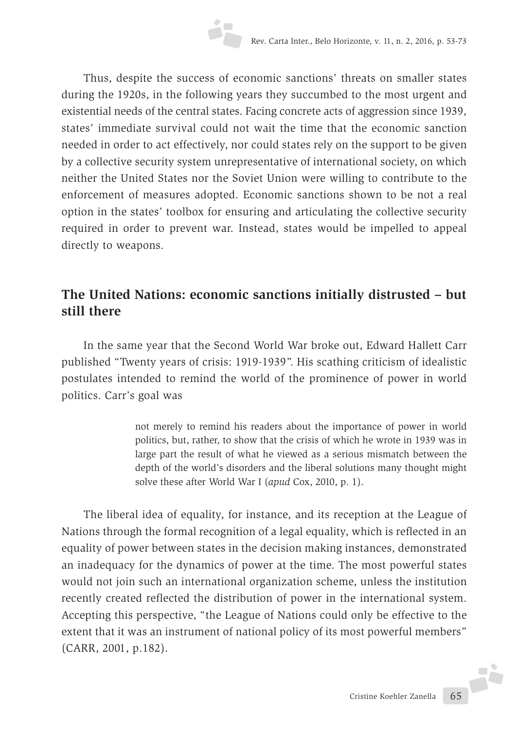Thus, despite the success of economic sanctions' threats on smaller states during the 1920s, in the following years they succumbed to the most urgent and existential needs of the central states. Facing concrete acts of aggression since 1939, states' immediate survival could not wait the time that the economic sanction needed in order to act effectively, nor could states rely on the support to be given by a collective security system unrepresentative of international society, on which neither the United States nor the Soviet Union were willing to contribute to the enforcement of measures adopted. Economic sanctions shown to be not a real option in the states' toolbox for ensuring and articulating the collective security required in order to prevent war. Instead, states would be impelled to appeal directly to weapons.

### **The United Nations: economic sanctions initially distrusted – but still there**

In the same year that the Second World War broke out, Edward Hallett Carr published "Twenty years of crisis: 1919-1939". His scathing criticism of idealistic postulates intended to remind the world of the prominence of power in world politics. Carr's goal was

> not merely to remind his readers about the importance of power in world politics, but, rather, to show that the crisis of which he wrote in 1939 was in large part the result of what he viewed as a serious mismatch between the depth of the world's disorders and the liberal solutions many thought might solve these after World War I (*apud* Cox, 2010, p. 1).

The liberal idea of equality, for instance, and its reception at the League of Nations through the formal recognition of a legal equality, which is reflected in an equality of power between states in the decision making instances, demonstrated an inadequacy for the dynamics of power at the time. The most powerful states would not join such an international organization scheme, unless the institution recently created reflected the distribution of power in the international system. Accepting this perspective, "the League of Nations could only be effective to the extent that it was an instrument of national policy of its most powerful members" (CARR, 2001, p.182).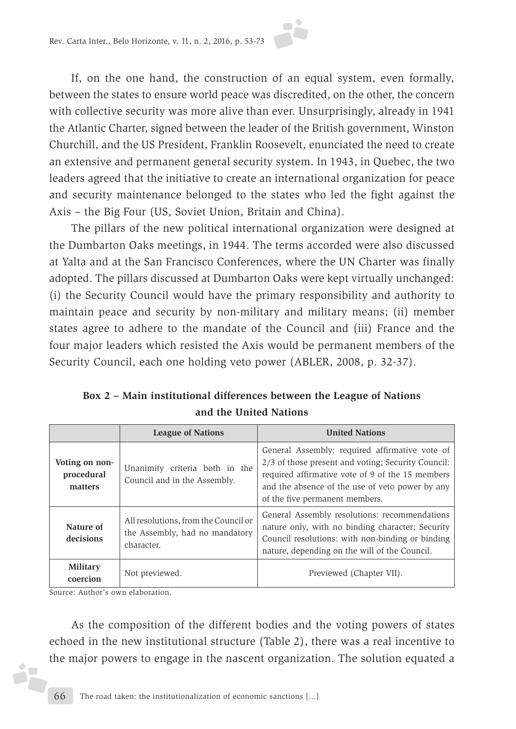

If, on the one hand, the construction of an equal system, even formally, between the states to ensure world peace was discredited, on the other, the concern with collective security was more alive than ever. Unsurprisingly, already in 1941 the Atlantic Charter, signed between the leader of the British government, Winston Churchill, and the US President, Franklin Roosevelt, enunciated the need to create an extensive and permanent general security system. In 1943, in Quebec, the two leaders agreed that the initiative to create an international organization for peace and security maintenance belonged to the states who led the fight against the Axis – the Big Four (US, Soviet Union, Britain and China).

The pillars of the new political international organization were designed at the Dumbarton Oaks meetings, in 1944. The terms accorded were also discussed at Yalta and at the San Francisco Conferences, where the UN Charter was finally adopted. The pillars discussed at Dumbarton Oaks were kept virtually unchanged: (i) the Security Council would have the primary responsibility and authority to maintain peace and security by non-military and military means; (ii) member states agree to adhere to the mandate of the Council and (iii) France and the four major leaders which resisted the Axis would be permanent members of the Security Council, each one holding veto power (ABLER, 2008, p. 32-37).

|                                         | <b>League of Nations</b>                                                             | <b>United Nations</b>                                                                                                                                                                                                                         |
|-----------------------------------------|--------------------------------------------------------------------------------------|-----------------------------------------------------------------------------------------------------------------------------------------------------------------------------------------------------------------------------------------------|
| Voting on non-<br>procedural<br>matters | Unanimity criteria both in the<br>Council and in the Assembly.                       | General Assembly: required affirmative vote of<br>2/3 of those present and voting; Security Council:<br>required affirmative vote of 9 of the 15 members<br>and the absence of the use of veto power by any<br>of the five permanent members. |
| Nature of<br>decisions                  | All resolutions, from the Council or<br>the Assembly, had no mandatory<br>character. | General Assembly resolutions: recommendations<br>nature only, with no binding character; Security<br>Council resolutions: with non-binding or binding<br>nature, depending on the will of the Council.                                        |
| <b>Military</b><br>coercion             | Not previewed.                                                                       | Previewed (Chapter VII).                                                                                                                                                                                                                      |

**Box 2 – Main institutional differences between the League of Nations and the United Nations**

Source: Author's own elaboration.

 $\bullet$ ń.

As the composition of the different bodies and the voting powers of states echoed in the new institutional structure (Table 2), there was a real incentive to the major powers to engage in the nascent organization. The solution equated a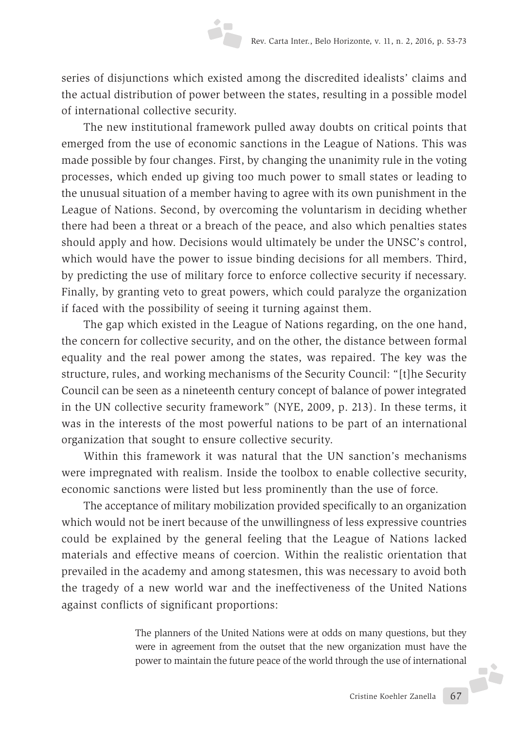series of disjunctions which existed among the discredited idealists' claims and the actual distribution of power between the states, resulting in a possible model of international collective security.

The new institutional framework pulled away doubts on critical points that emerged from the use of economic sanctions in the League of Nations. This was made possible by four changes. First, by changing the unanimity rule in the voting processes, which ended up giving too much power to small states or leading to the unusual situation of a member having to agree with its own punishment in the League of Nations. Second, by overcoming the voluntarism in deciding whether there had been a threat or a breach of the peace, and also which penalties states should apply and how. Decisions would ultimately be under the UNSC's control, which would have the power to issue binding decisions for all members. Third, by predicting the use of military force to enforce collective security if necessary. Finally, by granting veto to great powers, which could paralyze the organization if faced with the possibility of seeing it turning against them.

The gap which existed in the League of Nations regarding, on the one hand, the concern for collective security, and on the other, the distance between formal equality and the real power among the states, was repaired. The key was the structure, rules, and working mechanisms of the Security Council: "[t]he Security Council can be seen as a nineteenth century concept of balance of power integrated in the UN collective security framework" (NYE, 2009, p. 213). In these terms, it was in the interests of the most powerful nations to be part of an international organization that sought to ensure collective security.

Within this framework it was natural that the UN sanction's mechanisms were impregnated with realism. Inside the toolbox to enable collective security, economic sanctions were listed but less prominently than the use of force.

The acceptance of military mobilization provided specifically to an organization which would not be inert because of the unwillingness of less expressive countries could be explained by the general feeling that the League of Nations lacked materials and effective means of coercion. Within the realistic orientation that prevailed in the academy and among statesmen, this was necessary to avoid both the tragedy of a new world war and the ineffectiveness of the United Nations against conflicts of significant proportions:

> The planners of the United Nations were at odds on many questions, but they were in agreement from the outset that the new organization must have the power to maintain the future peace of the world through the use of international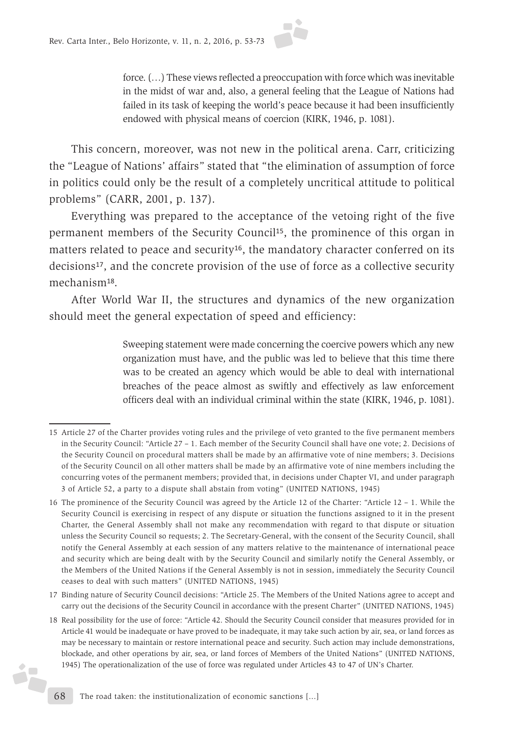

force. (…) These views reflected a preoccupation with force which was inevitable in the midst of war and, also, a general feeling that the League of Nations had failed in its task of keeping the world's peace because it had been insufficiently endowed with physical means of coercion (KIRK, 1946, p. 1081).

This concern, moreover, was not new in the political arena. Carr, criticizing the "League of Nations' affairs" stated that "the elimination of assumption of force in politics could only be the result of a completely uncritical attitude to political problems" (CARR, 2001, p. 137).

Everything was prepared to the acceptance of the vetoing right of the five permanent members of the Security Council15, the prominence of this organ in matters related to peace and security<sup>16</sup>, the mandatory character conferred on its decisions<sup>17</sup>, and the concrete provision of the use of force as a collective security mechanism18.

After World War II, the structures and dynamics of the new organization should meet the general expectation of speed and efficiency:

> Sweeping statement were made concerning the coercive powers which any new organization must have, and the public was led to believe that this time there was to be created an agency which would be able to deal with international breaches of the peace almost as swiftly and effectively as law enforcement officers deal with an individual criminal within the state (KIRK, 1946, p. 1081).

- 17 Binding nature of Security Council decisions: "Article 25. The Members of the United Nations agree to accept and carry out the decisions of the Security Council in accordance with the present Charter" (UNITED NATIONS, 1945)
- 18 Real possibility for the use of force: "Article 42. Should the Security Council consider that measures provided for in Article 41 would be inadequate or have proved to be inadequate, it may take such action by air, sea, or land forces as may be necessary to maintain or restore international peace and security. Such action may include demonstrations, blockade, and other operations by air, sea, or land forces of Members of the United Nations" (UNITED NATIONS, 1945) The operationalization of the use of force was regulated under Articles 43 to 47 of UN's Charter.

ż.

<sup>15</sup> Article 27 of the Charter provides voting rules and the privilege of veto granted to the five permanent members in the Security Council: "Article 27 – 1. Each member of the Security Council shall have one vote; 2. Decisions of the Security Council on procedural matters shall be made by an affirmative vote of nine members; 3. Decisions of the Security Council on all other matters shall be made by an affirmative vote of nine members including the concurring votes of the permanent members; provided that, in decisions under Chapter VI, and under paragraph 3 of Article 52, a party to a dispute shall abstain from voting" (UNITED NATIONS, 1945)

<sup>16</sup> The prominence of the Security Council was agreed by the Article 12 of the Charter: "Article 12 – 1. While the Security Council is exercising in respect of any dispute or situation the functions assigned to it in the present Charter, the General Assembly shall not make any recommendation with regard to that dispute or situation unless the Security Council so requests; 2. The Secretary-General, with the consent of the Security Council, shall notify the General Assembly at each session of any matters relative to the maintenance of international peace and security which are being dealt with by the Security Council and similarly notify the General Assembly, or the Members of the United Nations if the General Assembly is not in session, immediately the Security Council ceases to deal with such matters" (UNITED NATIONS, 1945)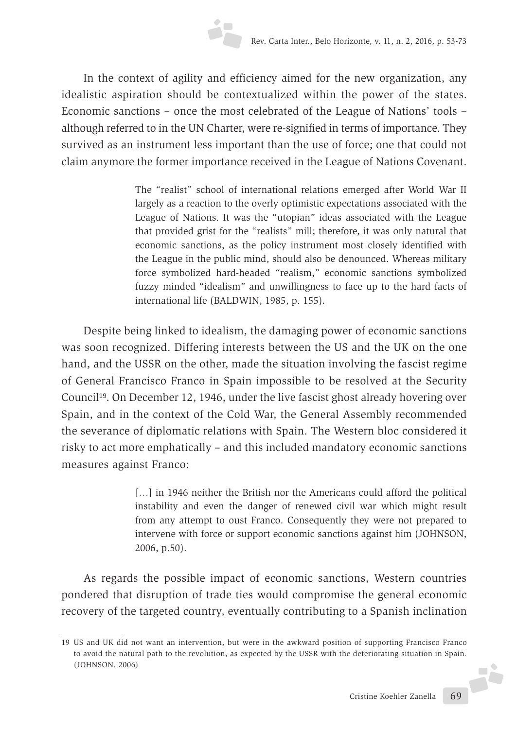In the context of agility and efficiency aimed for the new organization, any idealistic aspiration should be contextualized within the power of the states. Economic sanctions – once the most celebrated of the League of Nations' tools – although referred to in the UN Charter, were re-signified in terms of importance. They survived as an instrument less important than the use of force; one that could not claim anymore the former importance received in the League of Nations Covenant.

> The "realist" school of international relations emerged after World War II largely as a reaction to the overly optimistic expectations associated with the League of Nations. It was the "utopian" ideas associated with the League that provided grist for the "realists" mill; therefore, it was only natural that economic sanctions, as the policy instrument most closely identified with the League in the public mind, should also be denounced. Whereas military force symbolized hard-headed "realism," economic sanctions symbolized fuzzy minded "idealism" and unwillingness to face up to the hard facts of international life (BALDWIN, 1985, p. 155).

Despite being linked to idealism, the damaging power of economic sanctions was soon recognized. Differing interests between the US and the UK on the one hand, and the USSR on the other, made the situation involving the fascist regime of General Francisco Franco in Spain impossible to be resolved at the Security Council19. On December 12, 1946, under the live fascist ghost already hovering over Spain, and in the context of the Cold War, the General Assembly recommended the severance of diplomatic relations with Spain. The Western bloc considered it risky to act more emphatically – and this included mandatory economic sanctions measures against Franco:

> [...] in 1946 neither the British nor the Americans could afford the political instability and even the danger of renewed civil war which might result from any attempt to oust Franco. Consequently they were not prepared to intervene with force or support economic sanctions against him (JOHNSON, 2006, p.50).

As regards the possible impact of economic sanctions, Western countries pondered that disruption of trade ties would compromise the general economic recovery of the targeted country, eventually contributing to a Spanish inclination

<sup>19</sup> US and UK did not want an intervention, but were in the awkward position of supporting Francisco Franco to avoid the natural path to the revolution, as expected by the USSR with the deteriorating situation in Spain. J. (JOHNSON, 2006)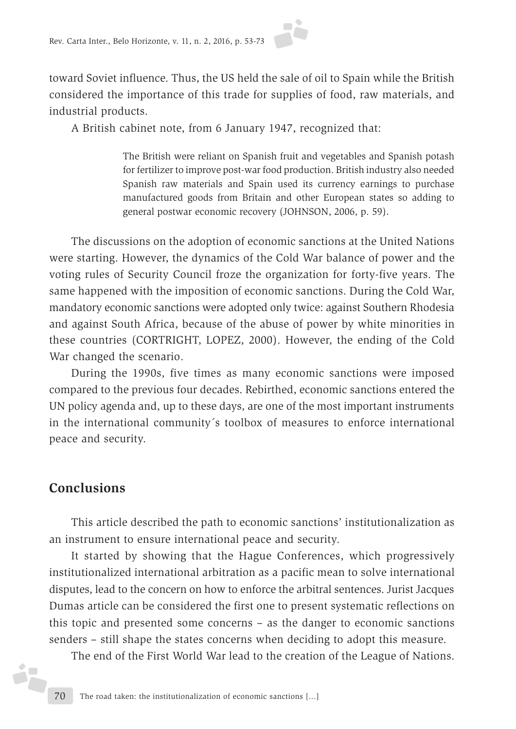

toward Soviet influence. Thus, the US held the sale of oil to Spain while the British considered the importance of this trade for supplies of food, raw materials, and industrial products.

A British cabinet note, from 6 January 1947, recognized that:

The British were reliant on Spanish fruit and vegetables and Spanish potash for fertilizer to improve post-war food production. British industry also needed Spanish raw materials and Spain used its currency earnings to purchase manufactured goods from Britain and other European states so adding to general postwar economic recovery (JOHNSON, 2006, p. 59).

The discussions on the adoption of economic sanctions at the United Nations were starting. However, the dynamics of the Cold War balance of power and the voting rules of Security Council froze the organization for forty-five years. The same happened with the imposition of economic sanctions. During the Cold War, mandatory economic sanctions were adopted only twice: against Southern Rhodesia and against South Africa, because of the abuse of power by white minorities in these countries (CORTRIGHT, LOPEZ, 2000). However, the ending of the Cold War changed the scenario.

During the 1990s, five times as many economic sanctions were imposed compared to the previous four decades. Rebirthed, economic sanctions entered the UN policy agenda and, up to these days, are one of the most important instruments in the international community´s toolbox of measures to enforce international peace and security.

### **Conclusions**

ż<mark>.</mark>

This article described the path to economic sanctions' institutionalization as an instrument to ensure international peace and security.

It started by showing that the Hague Conferences, which progressively institutionalized international arbitration as a pacific mean to solve international disputes, lead to the concern on how to enforce the arbitral sentences. Jurist Jacques Dumas article can be considered the first one to present systematic reflections on this topic and presented some concerns – as the danger to economic sanctions senders – still shape the states concerns when deciding to adopt this measure.

The end of the First World War lead to the creation of the League of Nations.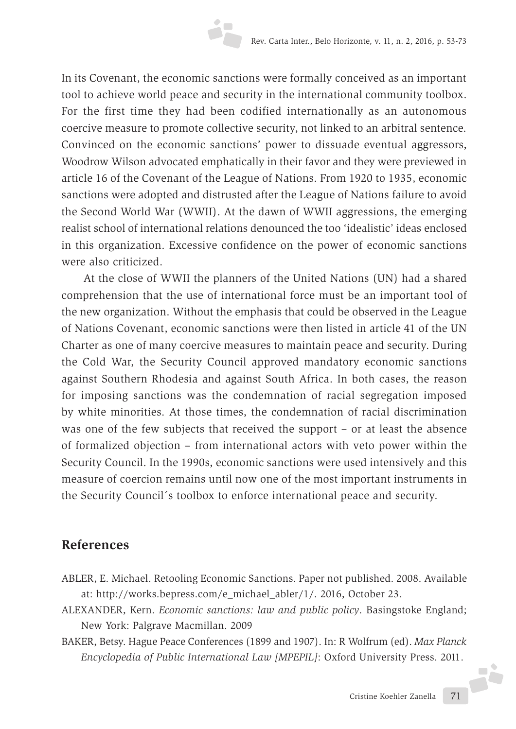In its Covenant, the economic sanctions were formally conceived as an important tool to achieve world peace and security in the international community toolbox. For the first time they had been codified internationally as an autonomous coercive measure to promote collective security, not linked to an arbitral sentence. Convinced on the economic sanctions' power to dissuade eventual aggressors, Woodrow Wilson advocated emphatically in their favor and they were previewed in article 16 of the Covenant of the League of Nations. From 1920 to 1935, economic sanctions were adopted and distrusted after the League of Nations failure to avoid the Second World War (WWII). At the dawn of WWII aggressions, the emerging realist school of international relations denounced the too 'idealistic' ideas enclosed in this organization. Excessive confidence on the power of economic sanctions were also criticized.

At the close of WWII the planners of the United Nations (UN) had a shared comprehension that the use of international force must be an important tool of the new organization. Without the emphasis that could be observed in the League of Nations Covenant, economic sanctions were then listed in article 41 of the UN Charter as one of many coercive measures to maintain peace and security. During the Cold War, the Security Council approved mandatory economic sanctions against Southern Rhodesia and against South Africa. In both cases, the reason for imposing sanctions was the condemnation of racial segregation imposed by white minorities. At those times, the condemnation of racial discrimination was one of the few subjects that received the support – or at least the absence of formalized objection – from international actors with veto power within the Security Council. In the 1990s, economic sanctions were used intensively and this measure of coercion remains until now one of the most important instruments in the Security Council´s toolbox to enforce international peace and security.

#### **References**

- ABLER, E. Michael. Retooling Economic Sanctions. Paper not published. 2008. Available at: http://works.bepress.com/e\_michael\_abler/1/. 2016, October 23.
- ALEXANDER, Kern. *Economic sanctions: law and public policy*. Basingstoke England; New York: Palgrave Macmillan. 2009
- BAKER, Betsy. Hague Peace Conferences (1899 and 1907). In: R Wolfrum (ed). *Max Planck Encyclopedia of Public International Law [MPEPIL]*: Oxford University Press. 2011.

JŻ.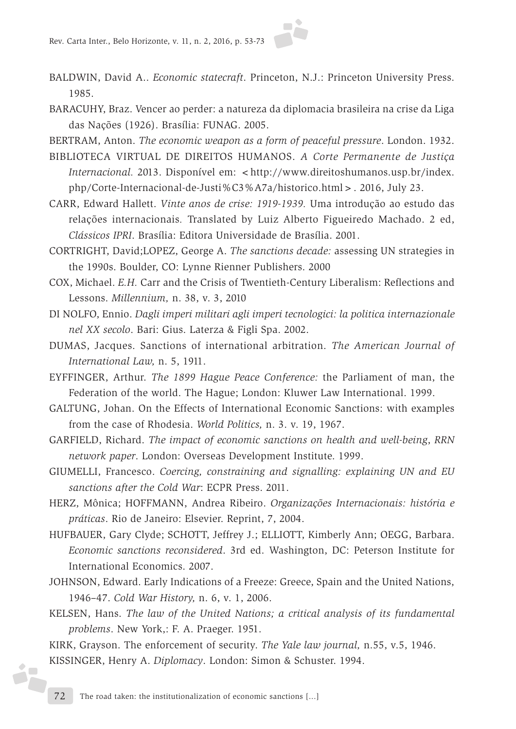

- BALDWIN, David A.. *Economic statecraft*. Princeton, N.J.: Princeton University Press. 1985.
- BARACUHY, Braz. Vencer ao perder: a natureza da diplomacia brasileira na crise da Liga das Nações (1926). Brasília: FUNAG. 2005.
- BERTRAM, Anton. *The economic weapon as a form of peaceful pressure*. London. 1932.
- BIBLIOTECA VIRTUAL DE DIREITOS HUMANOS. *A Corte Permanente de Justiça Internacional.* 2013. Disponível em: <http://www.direitoshumanos.usp.br/index. php/Corte-Internacional-de-Justi%C3%A7a/historico.html>. 2016, July 23.
- CARR, Edward Hallett. *Vinte anos de crise: 1919-1939.* Uma introdução ao estudo das relações internacionais*.* Translated by Luiz Alberto Figueiredo Machado. 2 ed, *Clássicos IPRI*. Brasília: Editora Universidade de Brasília. 2001.
- CORTRIGHT, David;LOPEZ, George A. *The sanctions decade:* assessing UN strategies in the 1990s. Boulder, CO: Lynne Rienner Publishers. 2000
- COX, Michael. *E.H.* Carr and the Crisis of Twentieth-Century Liberalism: Reflections and Lessons. *Millennium,* n. 38, v. 3, 2010
- DI NOLFO, Ennio. *Dagli imperi militari agli imperi tecnologici: la politica internazionale nel XX secolo*. Bari: Gius. Laterza & Figli Spa. 2002.
- DUMAS, Jacques. Sanctions of international arbitration. *The American Journal of International Law,* n. 5, 1911.
- EYFFINGER, Arthur. *The 1899 Hague Peace Conference:* the Parliament of man, the Federation of the world. The Hague; London: Kluwer Law International. 1999.
- GALTUNG, Johan. On the Effects of International Economic Sanctions: with examples from the case of Rhodesia. *World Politics,* n. 3. v. 19, 1967.
- GARFIELD, Richard. *The impact of economic sanctions on health and well-being*, *RRN network paper*. London: Overseas Development Institute. 1999.
- GIUMELLI, Francesco. *Coercing, constraining and signalling: explaining UN and EU sanctions after the Cold War*: ECPR Press. 2011.
- HERZ, Mônica; HOFFMANN, Andrea Ribeiro. *Organizações Internacionais: história e práticas*. Rio de Janeiro: Elsevier. Reprint, 7, 2004.
- HUFBAUER, Gary Clyde; SCHOTT, Jeffrey J.; ELLIOTT, Kimberly Ann; OEGG, Barbara. *Economic sanctions reconsidered*. 3rd ed. Washington, DC: Peterson Institute for International Economics. 2007.
- JOHNSON, Edward. Early Indications of a Freeze: Greece, Spain and the United Nations, 1946–47. *Cold War History,* n. 6, v. 1, 2006.
- KELSEN, Hans. *The law of the United Nations; a critical analysis of its fundamental problems*. New York,: F. A. Praeger. 1951.
- KIRK, Grayson. The enforcement of security. *The Yale law journal,* n.55, v.5, 1946. KISSINGER, Henry A. *Diplomacy*. London: Simon & Schuster. 1994.

á.